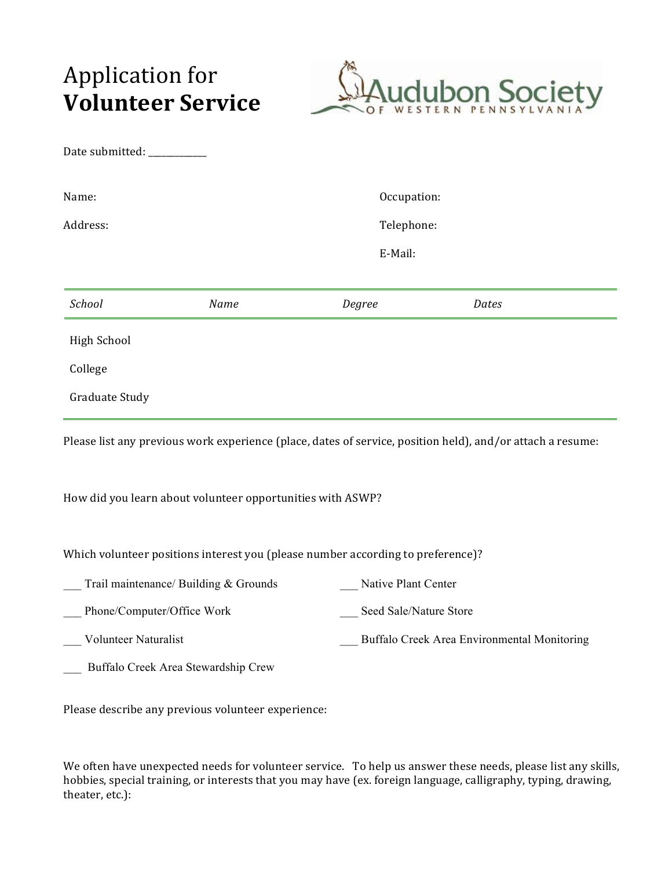## Application for **Volunteer Service** OF



| Date submitted: _________  |                                                                                                            |                        |                                             |  |  |  |
|----------------------------|------------------------------------------------------------------------------------------------------------|------------------------|---------------------------------------------|--|--|--|
| Name:                      |                                                                                                            | Occupation:            |                                             |  |  |  |
| Address:                   |                                                                                                            | Telephone:<br>E-Mail:  |                                             |  |  |  |
|                            |                                                                                                            |                        |                                             |  |  |  |
| School                     | Name                                                                                                       | Degree                 | Dates                                       |  |  |  |
| <b>High School</b>         |                                                                                                            |                        |                                             |  |  |  |
| College                    |                                                                                                            |                        |                                             |  |  |  |
| Graduate Study             |                                                                                                            |                        |                                             |  |  |  |
|                            | Please list any previous work experience (place, dates of service, position held), and/or attach a resume: |                        |                                             |  |  |  |
|                            | How did you learn about volunteer opportunities with ASWP?                                                 |                        |                                             |  |  |  |
|                            | Which volunteer positions interest you (please number according to preference)?                            |                        |                                             |  |  |  |
|                            | Trail maintenance/ Building & Grounds                                                                      | Native Plant Center    |                                             |  |  |  |
| Phone/Computer/Office Work |                                                                                                            | Seed Sale/Nature Store |                                             |  |  |  |
| Volunteer Naturalist       |                                                                                                            |                        | Buffalo Creek Area Environmental Monitoring |  |  |  |
|                            | Buffalo Creek Area Stewardship Crew                                                                        |                        |                                             |  |  |  |

Please describe any previous volunteer experience:

We often have unexpected needs for volunteer service. To help us answer these needs, please list any skills, hobbies, special training, or interests that you may have (ex. foreign language, calligraphy, typing, drawing, theater, etc.):